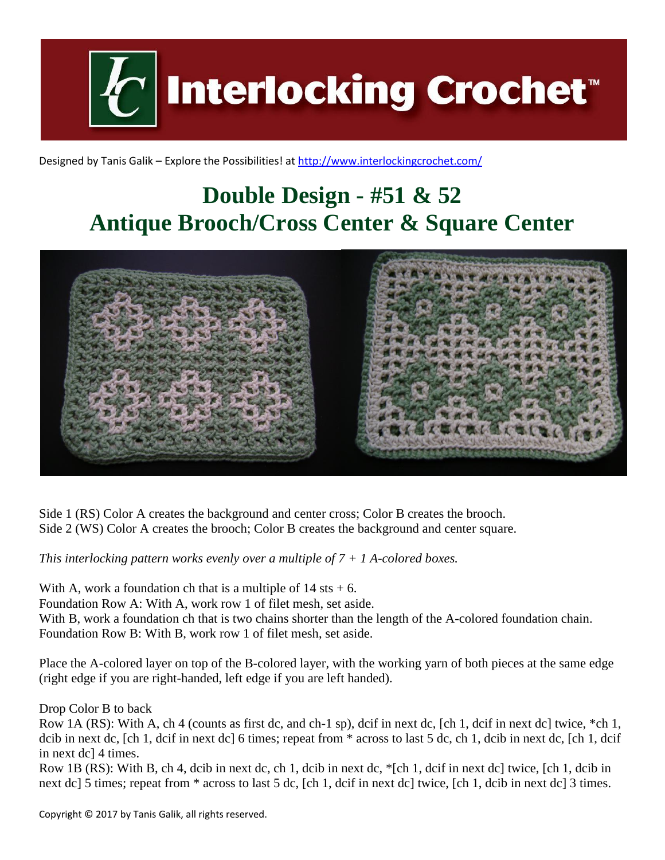**Interlocking Crochet™** 

Designed by Tanis Galik – Explore the Possibilities! a[t http://www.interlockingcrochet.com/](http://www.interlockingcrochet.com/)

## **Double Design - #51 & 52 Antique Brooch/Cross Center & Square Center**



Side 1 (RS) Color A creates the background and center cross; Color B creates the brooch. Side 2 (WS) Color A creates the brooch; Color B creates the background and center square.

*This interlocking pattern works evenly over a multiple of 7 + 1 A-colored boxes.*

With A, work a foundation ch that is a multiple of  $14$  sts  $+ 6$ .

Foundation Row A: With A, work row 1 of filet mesh, set aside.

With B, work a foundation ch that is two chains shorter than the length of the A-colored foundation chain. Foundation Row B: With B, work row 1 of filet mesh, set aside.

Place the A-colored layer on top of the B-colored layer, with the working yarn of both pieces at the same edge (right edge if you are right-handed, left edge if you are left handed).

Drop Color B to back

Row 1A (RS): With A, ch 4 (counts as first dc, and ch-1 sp), dcif in next dc, [ch 1, dcif in next dc] twice, \*ch 1, dcib in next dc, [ch 1, dcif in next dc] 6 times; repeat from \* across to last 5 dc, ch 1, dcib in next dc, [ch 1, dcif in next dc] 4 times.

Row 1B (RS): With B, ch 4, dcib in next dc, ch 1, dcib in next dc, \*[ch 1, dcif in next dc] twice, [ch 1, dcib in next dc] 5 times; repeat from \* across to last 5 dc, [ch 1, dcif in next dc] twice, [ch 1, dcib in next dc] 3 times.

Copyright © 2017 by Tanis Galik, all rights reserved.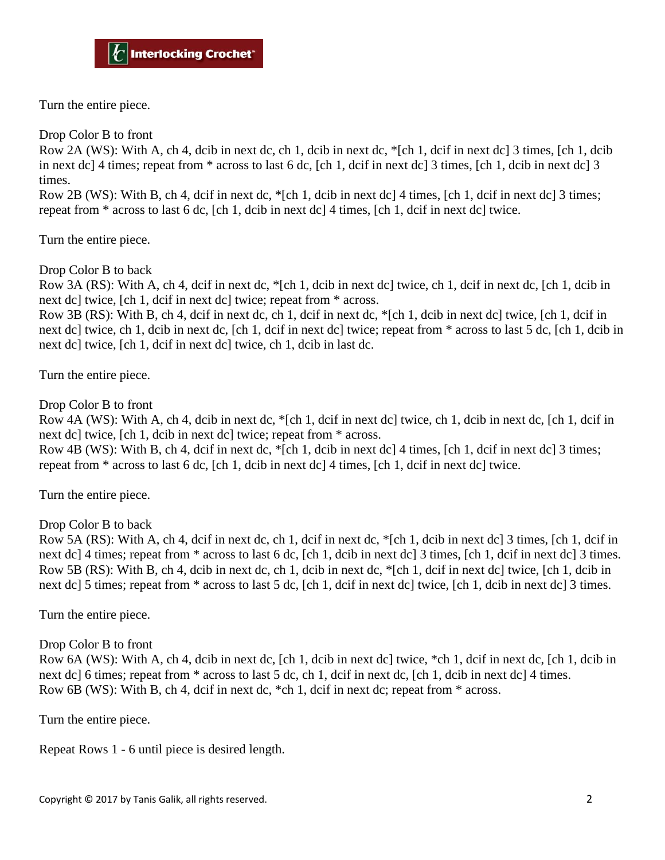Turn the entire piece.

Drop Color B to front

Row 2A (WS): With A, ch 4, dcib in next dc, ch 1, dcib in next dc, \*[ch 1, dcif in next dc] 3 times, [ch 1, dcib in next dc] 4 times; repeat from \* across to last 6 dc, [ch 1, dcif in next dc] 3 times, [ch 1, dcib in next dc] 3 times.

Row 2B (WS): With B, ch 4, dcif in next dc, \*[ch 1, dcib in next dc] 4 times, [ch 1, dcif in next dc] 3 times; repeat from \* across to last 6 dc, [ch 1, dcib in next dc] 4 times, [ch 1, dcif in next dc] twice.

Turn the entire piece.

Drop Color B to back

Row 3A (RS): With A, ch 4, dcif in next dc, \*[ch 1, dcib in next dc] twice, ch 1, dcif in next dc, [ch 1, dcib in next dc] twice, [ch 1, dcif in next dc] twice; repeat from \* across.

Row 3B (RS): With B, ch 4, dcif in next dc, ch 1, dcif in next dc, \*[ch 1, dcib in next dc] twice, [ch 1, dcif in next dc] twice, ch 1, dcib in next dc, [ch 1, dcif in next dc] twice; repeat from \* across to last 5 dc, [ch 1, dcib in next dc] twice, [ch 1, dcif in next dc] twice, ch 1, dcib in last dc.

Turn the entire piece.

Drop Color B to front

Row 4A (WS): With A, ch 4, dcib in next dc, \*[ch 1, dcif in next dc] twice, ch 1, dcib in next dc, [ch 1, dcif in next dc] twice, [ch 1, dcib in next dc] twice; repeat from \* across.

Row 4B (WS): With B, ch 4, dcif in next dc, \*[ch 1, dcib in next dc] 4 times, [ch 1, dcif in next dc] 3 times; repeat from \* across to last 6 dc, [ch 1, dcib in next dc] 4 times, [ch 1, dcif in next dc] twice.

Turn the entire piece.

Drop Color B to back

Row 5A (RS): With A, ch 4, dcif in next dc, ch 1, dcif in next dc, \*[ch 1, dcib in next dc] 3 times, [ch 1, dcif in next dc] 4 times; repeat from \* across to last 6 dc, [ch 1, dcib in next dc] 3 times, [ch 1, dcif in next dc] 3 times. Row 5B (RS): With B, ch 4, dcib in next dc, ch 1, dcib in next dc, \*[ch 1, dcif in next dc] twice, [ch 1, dcib in next dc] 5 times; repeat from  $*$  across to last 5 dc, [ch 1, dcif in next dc] twice, [ch 1, dcib in next dc] 3 times.

Turn the entire piece.

Drop Color B to front

Row 6A (WS): With A, ch 4, dcib in next dc, [ch 1, dcib in next dc] twice, \*ch 1, dcif in next dc, [ch 1, dcib in next dc] 6 times; repeat from  $*$  across to last 5 dc, ch 1, dcif in next dc, [ch 1, dcib in next dc] 4 times. Row 6B (WS): With B, ch 4, dcif in next dc, \*ch 1, dcif in next dc; repeat from \* across.

Turn the entire piece.

Repeat Rows 1 - 6 until piece is desired length.